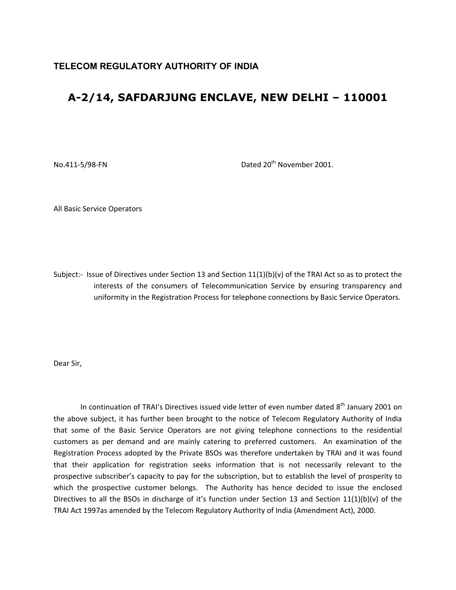## **TELECOM REGULATORY AUTHORITY OF INDIA**

## **A-2/14, SAFDARJUNG ENCLAVE, NEW DELHI – 110001**

No.411-5/98-FN Dated 20<sup>th</sup> November 2001.

All Basic Service Operators

Subject:- Issue of Directives under Section 13 and Section 11(1)(b)(v) of the TRAI Act so as to protect the interests of the consumers of Telecommunication Service by ensuring transparency and uniformity in the Registration Process for telephone connections by Basic Service Operators.

Dear Sir,

In continuation of TRAI's Directives issued vide letter of even number dated  $8<sup>th</sup>$  January 2001 on the above subject, it has further been brought to the notice of Telecom Regulatory Authority of India that some of the Basic Service Operators are not giving telephone connections to the residential customers as per demand and are mainly catering to preferred customers. An examination of the Registration Process adopted by the Private BSOs was therefore undertaken by TRAI and it was found that their application for registration seeks information that is not necessarily relevant to the prospective subscriber's capacity to pay for the subscription, but to establish the level of prosperity to which the prospective customer belongs. The Authority has hence decided to issue the enclosed Directives to all the BSOs in discharge of it's function under Section 13 and Section 11(1)(b)(v) of the TRAI Act 1997as amended by the Telecom Regulatory Authority of India (Amendment Act), 2000.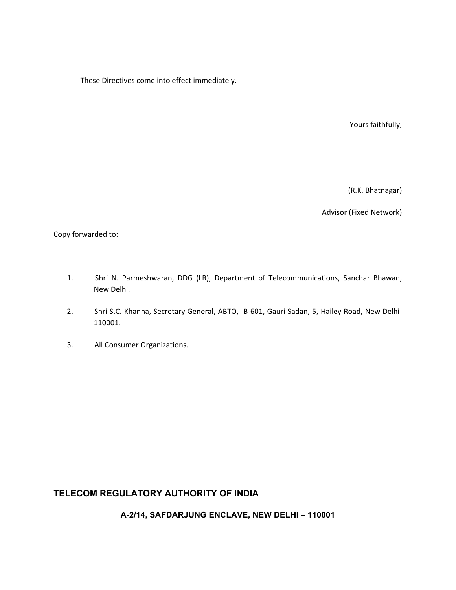These Directives come into effect immediately.

Yours faithfully,

(R.K. Bhatnagar)

Advisor (Fixed Network)

Copy forwarded to:

- 1. Shri N. Parmeshwaran, DDG (LR), Department of Telecommunications, Sanchar Bhawan, New Delhi.
- 2. Shri S.C. Khanna, Secretary General, ABTO, B‐601, Gauri Sadan, 5, Hailey Road, New Delhi‐ 110001.
- 3. All Consumer Organizations.

## **TELECOM REGULATORY AUTHORITY OF INDIA**

**A-2/14, SAFDARJUNG ENCLAVE, NEW DELHI – 110001**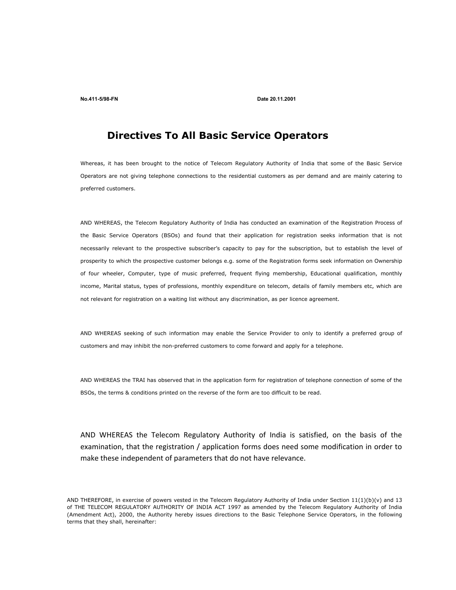**No.411-5/98-FN Date 20.11.2001** 

## **Directives To All Basic Service Operators**

Whereas, it has been brought to the notice of Telecom Regulatory Authority of India that some of the Basic Service Operators are not giving telephone connections to the residential customers as per demand and are mainly catering to preferred customers.

AND WHEREAS, the Telecom Regulatory Authority of India has conducted an examination of the Registration Process of the Basic Service Operators (BSOs) and found that their application for registration seeks information that is not necessarily relevant to the prospective subscriber's capacity to pay for the subscription, but to establish the level of prosperity to which the prospective customer belongs e.g. some of the Registration forms seek information on Ownership of four wheeler, Computer, type of music preferred, frequent flying membership, Educational qualification, monthly income, Marital status, types of professions, monthly expenditure on telecom, details of family members etc, which are not relevant for registration on a waiting list without any discrimination, as per licence agreement.

AND WHEREAS seeking of such information may enable the Service Provider to only to identify a preferred group of customers and may inhibit the non-preferred customers to come forward and apply for a telephone.

AND WHEREAS the TRAI has observed that in the application form for registration of telephone connection of some of the BSOs, the terms & conditions printed on the reverse of the form are too difficult to be read.

AND WHEREAS the Telecom Regulatory Authority of India is satisfied, on the basis of the examination, that the registration / application forms does need some modification in order to make these independent of parameters that do not have relevance.

AND THEREFORE, in exercise of powers vested in the Telecom Regulatory Authority of India under Section 11(1)(b)(v) and 13 of THE TELECOM REGULATORY AUTHORITY OF INDIA ACT 1997 as amended by the Telecom Regulatory Authority of India (Amendment Act), 2000, the Authority hereby issues directions to the Basic Telephone Service Operators, in the following terms that they shall, hereinafter: